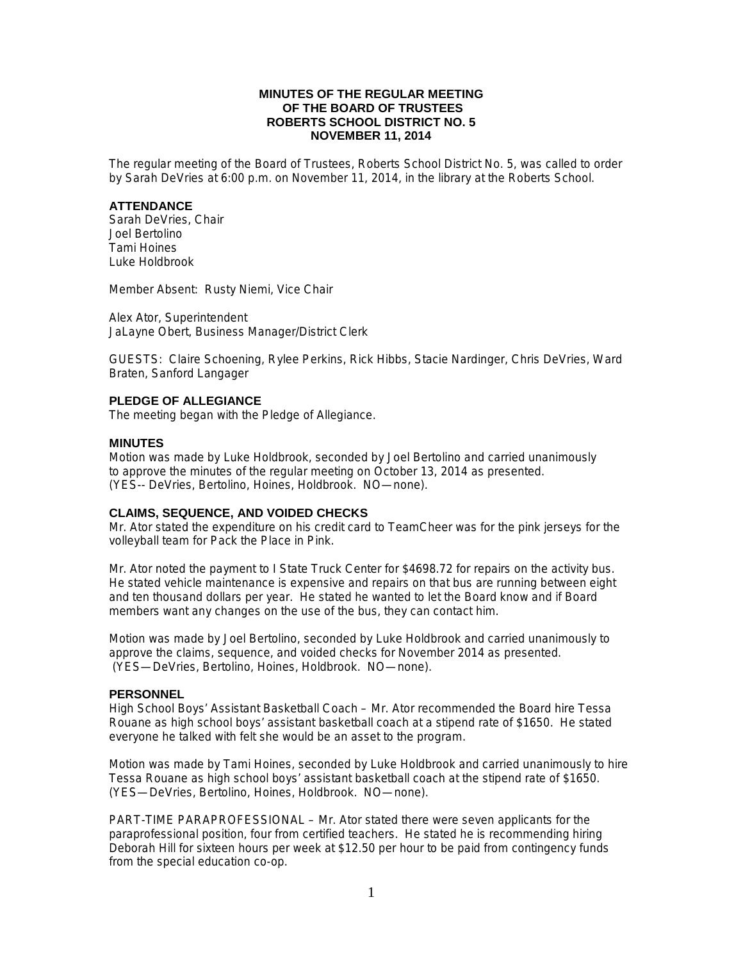## **MINUTES OF THE REGULAR MEETING OF THE BOARD OF TRUSTEES ROBERTS SCHOOL DISTRICT NO. 5 NOVEMBER 11, 2014**

The regular meeting of the Board of Trustees, Roberts School District No. 5, was called to order by Sarah DeVries at 6:00 p.m. on November 11, 2014, in the library at the Roberts School.

### **ATTENDANCE**

Sarah DeVries, Chair Joel Bertolino Tami Hoines Luke Holdbrook

Member Absent: Rusty Niemi, Vice Chair

Alex Ator, Superintendent JaLayne Obert, Business Manager/District Clerk

GUESTS: Claire Schoening, Rylee Perkins, Rick Hibbs, Stacie Nardinger, Chris DeVries, Ward Braten, Sanford Langager

### **PLEDGE OF ALLEGIANCE**

The meeting began with the Pledge of Allegiance.

### **MINUTES**

Motion was made by Luke Holdbrook, seconded by Joel Bertolino and carried unanimously to approve the minutes of the regular meeting on October 13, 2014 as presented. (YES-- DeVries, Bertolino, Hoines, Holdbrook. NO—none).

### **CLAIMS, SEQUENCE, AND VOIDED CHECKS**

Mr. Ator stated the expenditure on his credit card to TeamCheer was for the pink jerseys for the volleyball team for Pack the Place in Pink.

Mr. Ator noted the payment to I State Truck Center for \$4698.72 for repairs on the activity bus. He stated vehicle maintenance is expensive and repairs on that bus are running between eight and ten thousand dollars per year. He stated he wanted to let the Board know and if Board members want any changes on the use of the bus, they can contact him.

Motion was made by Joel Bertolino, seconded by Luke Holdbrook and carried unanimously to approve the claims, sequence, and voided checks for November 2014 as presented. (YES—DeVries, Bertolino, Hoines, Holdbrook. NO—none).

### **PERSONNEL**

High School Boys' Assistant Basketball Coach – Mr. Ator recommended the Board hire Tessa Rouane as high school boys' assistant basketball coach at a stipend rate of \$1650. He stated everyone he talked with felt she would be an asset to the program.

Motion was made by Tami Hoines, seconded by Luke Holdbrook and carried unanimously to hire Tessa Rouane as high school boys' assistant basketball coach at the stipend rate of \$1650. (YES—DeVries, Bertolino, Hoines, Holdbrook. NO—none).

PART-TIME PARAPROFESSIONAL – Mr. Ator stated there were seven applicants for the paraprofessional position, four from certified teachers. He stated he is recommending hiring Deborah Hill for sixteen hours per week at \$12.50 per hour to be paid from contingency funds from the special education co-op.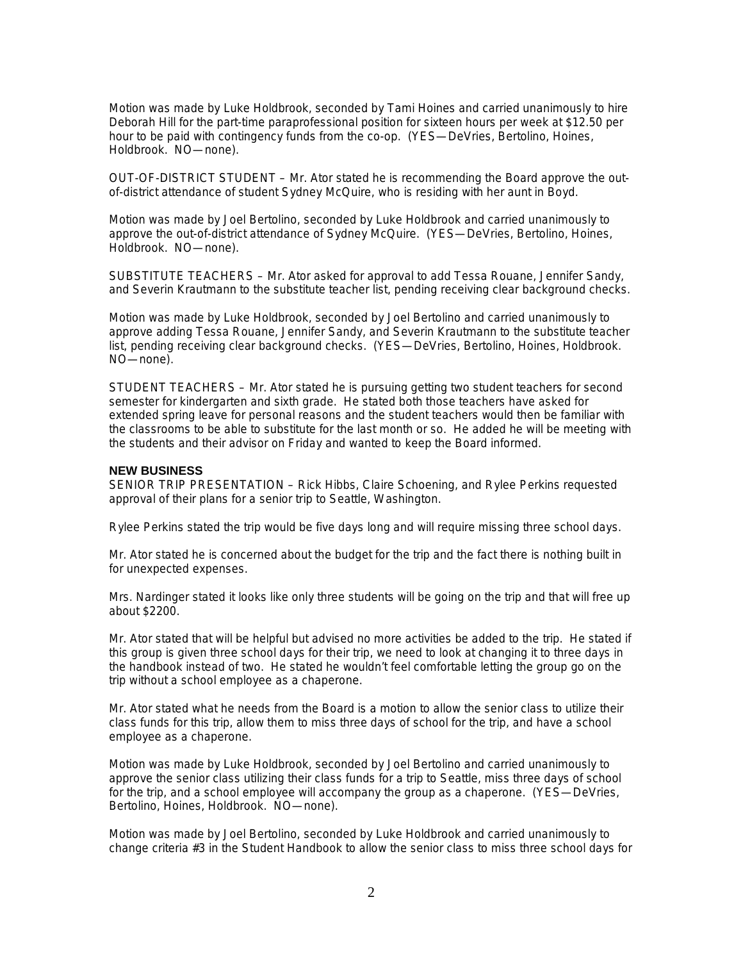Motion was made by Luke Holdbrook, seconded by Tami Hoines and carried unanimously to hire Deborah Hill for the part-time paraprofessional position for sixteen hours per week at \$12.50 per hour to be paid with contingency funds from the co-op. (YES—DeVries, Bertolino, Hoines, Holdbrook. NO—none).

OUT-OF-DISTRICT STUDENT – Mr. Ator stated he is recommending the Board approve the outof-district attendance of student Sydney McQuire, who is residing with her aunt in Boyd.

Motion was made by Joel Bertolino, seconded by Luke Holdbrook and carried unanimously to approve the out-of-district attendance of Sydney McQuire. (YES—DeVries, Bertolino, Hoines, Holdbrook. NO—none).

SUBSTITUTE TEACHERS – Mr. Ator asked for approval to add Tessa Rouane, Jennifer Sandy, and Severin Krautmann to the substitute teacher list, pending receiving clear background checks.

Motion was made by Luke Holdbrook, seconded by Joel Bertolino and carried unanimously to approve adding Tessa Rouane, Jennifer Sandy, and Severin Krautmann to the substitute teacher list, pending receiving clear background checks. (YES—DeVries, Bertolino, Hoines, Holdbrook. NO—none).

STUDENT TEACHERS – Mr. Ator stated he is pursuing getting two student teachers for second semester for kindergarten and sixth grade. He stated both those teachers have asked for extended spring leave for personal reasons and the student teachers would then be familiar with the classrooms to be able to substitute for the last month or so. He added he will be meeting with the students and their advisor on Friday and wanted to keep the Board informed.

### **NEW BUSINESS**

SENIOR TRIP PRESENTATION – Rick Hibbs, Claire Schoening, and Rylee Perkins requested approval of their plans for a senior trip to Seattle, Washington.

Rylee Perkins stated the trip would be five days long and will require missing three school days.

Mr. Ator stated he is concerned about the budget for the trip and the fact there is nothing built in for unexpected expenses.

Mrs. Nardinger stated it looks like only three students will be going on the trip and that will free up about \$2200.

Mr. Ator stated that will be helpful but advised no more activities be added to the trip. He stated if this group is given three school days for their trip, we need to look at changing it to three days in the handbook instead of two. He stated he wouldn't feel comfortable letting the group go on the trip without a school employee as a chaperone.

Mr. Ator stated what he needs from the Board is a motion to allow the senior class to utilize their class funds for this trip, allow them to miss three days of school for the trip, and have a school employee as a chaperone.

Motion was made by Luke Holdbrook, seconded by Joel Bertolino and carried unanimously to approve the senior class utilizing their class funds for a trip to Seattle, miss three days of school for the trip, and a school employee will accompany the group as a chaperone. (YES—DeVries, Bertolino, Hoines, Holdbrook. NO—none).

Motion was made by Joel Bertolino, seconded by Luke Holdbrook and carried unanimously to change criteria #3 in the Student Handbook to allow the senior class to miss three school days for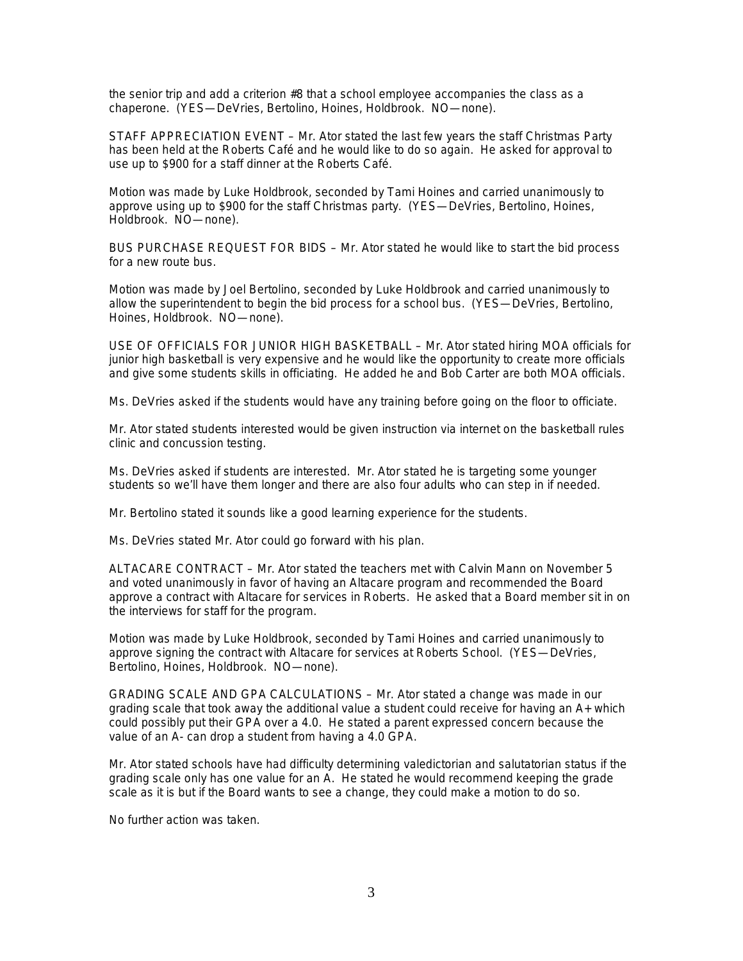the senior trip and add a criterion #8 that a school employee accompanies the class as a chaperone. (YES—DeVries, Bertolino, Hoines, Holdbrook. NO—none).

STAFF APPRECIATION EVENT – Mr. Ator stated the last few years the staff Christmas Party has been held at the Roberts Café and he would like to do so again. He asked for approval to use up to \$900 for a staff dinner at the Roberts Café.

Motion was made by Luke Holdbrook, seconded by Tami Hoines and carried unanimously to approve using up to \$900 for the staff Christmas party. (YES—DeVries, Bertolino, Hoines, Holdbrook. NO—none).

BUS PURCHASE REQUEST FOR BIDS – Mr. Ator stated he would like to start the bid process for a new route bus.

Motion was made by Joel Bertolino, seconded by Luke Holdbrook and carried unanimously to allow the superintendent to begin the bid process for a school bus. (YES—DeVries, Bertolino, Hoines, Holdbrook. NO—none).

USE OF OFFICIALS FOR JUNIOR HIGH BASKETBALL – Mr. Ator stated hiring MOA officials for junior high basketball is very expensive and he would like the opportunity to create more officials and give some students skills in officiating. He added he and Bob Carter are both MOA officials.

Ms. DeVries asked if the students would have any training before going on the floor to officiate.

Mr. Ator stated students interested would be given instruction via internet on the basketball rules clinic and concussion testing.

Ms. DeVries asked if students are interested. Mr. Ator stated he is targeting some younger students so we'll have them longer and there are also four adults who can step in if needed.

Mr. Bertolino stated it sounds like a good learning experience for the students.

Ms. DeVries stated Mr. Ator could go forward with his plan.

ALTACARE CONTRACT – Mr. Ator stated the teachers met with Calvin Mann on November 5 and voted unanimously in favor of having an Altacare program and recommended the Board approve a contract with Altacare for services in Roberts. He asked that a Board member sit in on the interviews for staff for the program.

Motion was made by Luke Holdbrook, seconded by Tami Hoines and carried unanimously to approve signing the contract with Altacare for services at Roberts School. (YES—DeVries, Bertolino, Hoines, Holdbrook. NO—none).

GRADING SCALE AND GPA CALCULATIONS – Mr. Ator stated a change was made in our grading scale that took away the additional value a student could receive for having an A+ which could possibly put their GPA over a 4.0. He stated a parent expressed concern because the value of an A- can drop a student from having a 4.0 GPA.

Mr. Ator stated schools have had difficulty determining valedictorian and salutatorian status if the grading scale only has one value for an A. He stated he would recommend keeping the grade scale as it is but if the Board wants to see a change, they could make a motion to do so.

No further action was taken.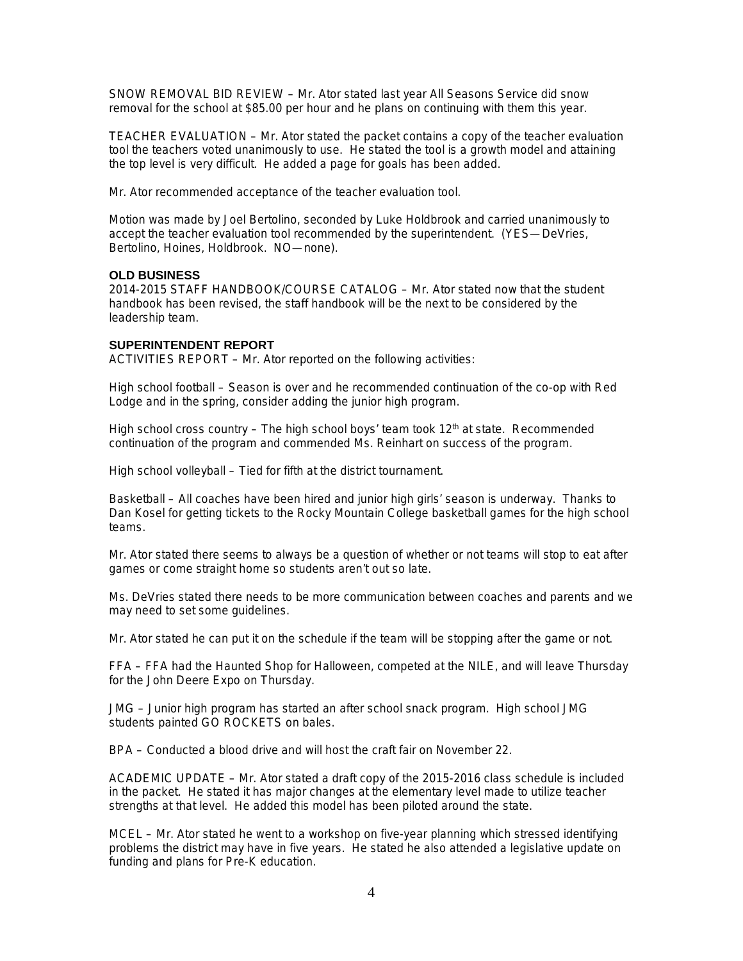SNOW REMOVAL BID REVIEW – Mr. Ator stated last year All Seasons Service did snow removal for the school at \$85.00 per hour and he plans on continuing with them this year.

TEACHER EVALUATION – Mr. Ator stated the packet contains a copy of the teacher evaluation tool the teachers voted unanimously to use. He stated the tool is a growth model and attaining the top level is very difficult. He added a page for goals has been added.

Mr. Ator recommended acceptance of the teacher evaluation tool.

Motion was made by Joel Bertolino, seconded by Luke Holdbrook and carried unanimously to accept the teacher evaluation tool recommended by the superintendent. (YES—DeVries, Bertolino, Hoines, Holdbrook. NO—none).

# **OLD BUSINESS**

2014-2015 STAFF HANDBOOK/COURSE CATALOG – Mr. Ator stated now that the student handbook has been revised, the staff handbook will be the next to be considered by the leadership team.

### **SUPERINTENDENT REPORT**

ACTIVITIES REPORT – Mr. Ator reported on the following activities:

High school football – Season is over and he recommended continuation of the co-op with Red Lodge and in the spring, consider adding the junior high program.

High school cross country – The high school boys' team took  $12<sup>th</sup>$  at state. Recommended continuation of the program and commended Ms. Reinhart on success of the program.

High school volleyball – Tied for fifth at the district tournament.

Basketball – All coaches have been hired and junior high girls' season is underway. Thanks to Dan Kosel for getting tickets to the Rocky Mountain College basketball games for the high school teams.

Mr. Ator stated there seems to always be a question of whether or not teams will stop to eat after games or come straight home so students aren't out so late.

Ms. DeVries stated there needs to be more communication between coaches and parents and we may need to set some guidelines.

Mr. Ator stated he can put it on the schedule if the team will be stopping after the game or not.

FFA – FFA had the Haunted Shop for Halloween, competed at the NILE, and will leave Thursday for the John Deere Expo on Thursday.

JMG – Junior high program has started an after school snack program. High school JMG students painted GO ROCKETS on bales.

BPA – Conducted a blood drive and will host the craft fair on November 22.

ACADEMIC UPDATE – Mr. Ator stated a draft copy of the 2015-2016 class schedule is included in the packet. He stated it has major changes at the elementary level made to utilize teacher strengths at that level. He added this model has been piloted around the state.

MCEL – Mr. Ator stated he went to a workshop on five-year planning which stressed identifying problems the district may have in five years. He stated he also attended a legislative update on funding and plans for Pre-K education.